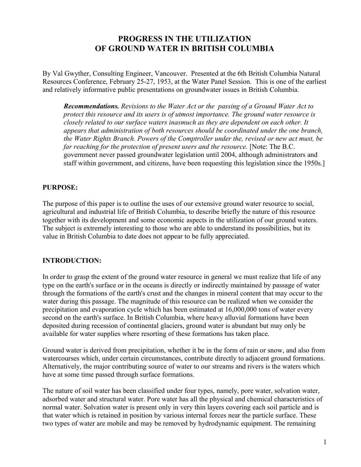# **PROGRESS IN THE UTILIZATION OF GROUND WATER IN BRITISH COLUMBIA**

By Val Gwyther, Consulting Engineer, Vancouver. Presented at the 6th British Columbia Natural Resources Conference, February 25-27, 1953, at the Water Panel Session. This is one of the earliest and relatively informative public presentations on groundwater issues in British Columbia.

*Recommendations. Revisions to the Water Act or the passing of a Ground Water Act to protect this resource and its users is of utmost importance. The ground water resource is closely related to our surface waters inasmuch as they are dependent on each other. It appears that administration of both resources should be coordinated under the one branch, the Water Rights Branch. Powers of the Comptroller under the, revised or new act must, be far reaching for the protection of present users and the resource.* [Note: The B.C. government never passed groundwater legislation until 2004, although administrators and staff within government, and citizens, have been requesting this legislation since the 1950s.]

### **PURPOSE:**

The purpose of this paper is to outline the uses of our extensive ground water resource to social, agricultural and industrial life of British Columbia, to describe briefly the nature of this resource together with its development and some economic aspects in the utilization of our ground waters. The subject is extremely interesting to those who are able to understand its possibilities, but its value in British Columbia to date does not appear to be fully appreciated.

### **INTRODUCTION:**

In order to grasp the extent of the ground water resource in general we must realize that life of any type on the earth's surface or in the oceans is directly or indirectly maintained by passage of water through the formations of the earth's crust and the changes in mineral content that may occur to the water during this passage. The magnitude of this resource can be realized when we consider the precipitation and evaporation cycle which has been estimated at 16,000,000 tons of water every second on the earth's surface. In British Columbia, where heavy alluvial formations have been deposited during recession of continental glaciers, ground water is abundant but may only be available for water supplies where resorting of these formations has taken place.

Ground water is derived from precipitation, whether it be in the form of rain or snow, and also from watercourses which, under certain circumstances, contribute directly to adjacent ground formations. Alternatively, the major contributing source of water to our streams and rivers is the waters which have at some time passed through surface formations.

The nature of soil water has been classified under four types, namely, pore water, solvation water, adsorbed water and structural water. Pore water has all the physical and chemical characteristics of normal water. Solvation water is present only in very thin layers covering each soil particle and is that water which is retained in position by various internal forces near the particle surface. These two types of water are mobile and may be removed by hydrodynamic equipment. The remaining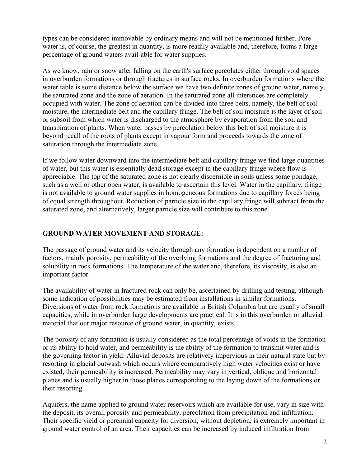types can be considered immovable by ordinary means and will not be mentioned further. Pore water is, of course, the greatest in quantity, is more readily available and, therefore, forms a large percentage of ground waters avail-able for water supplies.

As we know, rain or snow after falling on the earth's surface percolates either through void spaces in overburden formations or through fractures in surface rocks. In overburden formations where the water table is some distance below the surface we have two definite zones of ground water, namely, the saturated zone and the zone of aeration. In the saturated zone all interstices are completely occupied with water. The zone of aeration can be divided into three belts, namely, the belt of soil moisture, the intermediate belt and the capillary fringe. The belt of soil moisture is the layer of soil or subsoil from which water is discharged to the atmosphere by evaporation from the soil and transpiration of plants. When water passes by percolation below this belt of soil moisture it is beyond recall of the roots of plants except in vapour form and proceeds towards the zone of saturation through the intermediate zone.

If we follow water downward into the intermediate belt and capillary fringe we find large quantities of water, but this water is essentially dead storage except in the capillary fringe where flow is appreciable. The top of the saturated zone is not clearly discernible in soils unless some pondage, such as a well or other open water, is available to ascertain this level. Water in the capillary, fringe is not available to ground water supplies in homogeneous formations due to capillary forces being of equal strength throughout. Reduction of particle size in the capillary fringe will subtract from the saturated zone, and alternatively, larger particle size will contribute to this zone.

### **GROUND WATER MOVEMENT AND STORAGE:**

The passage of ground water and its velocity through any formation is dependent on a number of factors, mainly porosity, permeability of the overlying formations and the degree of fracturing and solubility in rock formations. The temperature of the water and, therefore, its viscosity, is also an important factor.

The availability of water in fractured rock can only be, ascertained by drilling and testing, although some indication of possibilities may be estimated from installations in similar formations. Diversions of water from rock formations are available in British Columbia but are usually of small capacities, while in overburden large developments are practical. It is in this overburden or alluvial material that our major resource of ground water, in quantity, exists.

The porosity of any formation is usually considered as the total percentage of voids in the formation or its ability to hold water, and permeability is the ability of the formation to transmit water and is the governing factor in yield. Alluvial deposits are relatively impervious in their natural state but by resorting in glacial outwash which occurs where comparatively high water velocities exist or have existed, their permeability is increased. Permeability may vary in vertical, oblique and horizontal planes and is usually higher in those planes corresponding to the laying down of the formations or their resorting.

Aquifers, the name applied to ground water reservoirs which are available for use, vary in size with the deposit, its overall porosity and permeability, percolation from precipitation and infiltration. Their specific yield or perennial capacity for diversion, without depletion, is extremely important in ground water control of an area. Their capacities can be increased by induced infiltration from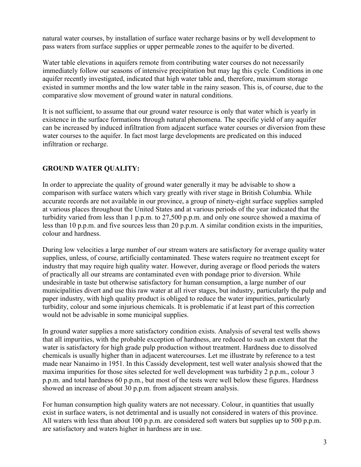natural water courses, by installation of surface water recharge basins or by well development to pass waters from surface supplies or upper permeable zones to the aquifer to be diverted.

Water table elevations in aquifers remote from contributing water courses do not necessarily immediately follow our seasons of intensive precipitation but may lag this cycle. Conditions in one aquifer recently investigated, indicated that high water table and, therefore, maximum storage existed in summer months and the low water table in the rainy season. This is, of course, due to the comparative slow movement of ground water in natural conditions.

It is not sufficient, to assume that our ground water resource is only that water which is yearly in existence in the surface formations through natural phenomena. The specific yield of any aquifer can be increased by induced infiltration from adjacent surface water courses or diversion from these water courses to the aquifer. In fact most large developments are predicated on this induced infiltration or recharge.

## **GROUND WATER QUALITY:**

In order to appreciate the quality of ground water generally it may be advisable to show a comparison with surface waters which vary greatly with river stage in British Columbia. While accurate records are not available in our province, a group of ninety-eight surface supplies sampled at various places throughout the United States and at various periods of the year indicated that the turbidity varied from less than 1 p.p.m. to 27,500 p.p.m. and only one source showed a maxima of less than 10 p.p.m. and five sources less than 20 p.p.m. A similar condition exists in the impurities, colour and hardness.

During low velocities a large number of our stream waters are satisfactory for average quality water supplies, unless, of course, artificially contaminated. These waters require no treatment except for industry that may require high quality water. However, during average or flood periods the waters of practically all our streams are contaminated even with pondage prior to diversion. While undesirable in taste but otherwise satisfactory for human consumption, a large number of our municipalities divert and use this raw water at all river stages, but industry, particularly the pulp and paper industry, with high quality product is obliged to reduce the water impurities, particularly turbidity, colour and some injurious chemicals. It is problematic if at least part of this correction would not be advisable in some municipal supplies.

In ground water supplies a more satisfactory condition exists. Analysis of several test wells shows that all impurities, with the probable exception of hardness, are reduced to such an extent that the water is satisfactory for high grade pulp production without treatment. Hardness due to dissolved chemicals is usually higher than in adjacent watercourses. Let me illustrate by reference to a test made near Nanaimo in 1951. In this Cassidy development, test well water analysis showed that the maxima impurities for those sites selected for well development was turbidity 2 p.p.m., colour 3 p.p.m. and total hardness 60 p.p.m., but most of the tests were well below these figures. Hardness showed an increase of about 30 p.p.m. from adjacent stream analysis.

For human consumption high quality waters are not necessary. Colour, in quantities that usually exist in surface waters, is not detrimental and is usually not considered in waters of this province. All waters with less than about 100 p.p.m. are considered soft waters but supplies up to 500 p.p.m. are satisfactory and waters higher in hardness are in use.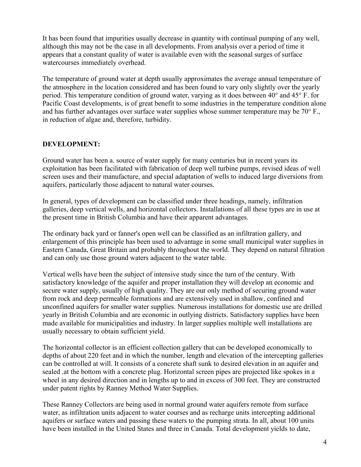It has been found that impurities usually decrease in quantity with continual pumping of any well, although this may not be the case in all developments. From analysis over a period of time it appears that a constant quality of water is available even with the seasonal surges of surface watercourses immediately overhead.

The temperature of ground water at depth usually approximates the average annual temperature of the atmosphere in the location considered and has been found to vary only slightly over the yearly period. This temperature condition of ground water, varying as it does between 40° and 45° F. for Pacific Coast developments, is of great benefit to some industries in the temperature condition alone and has further advantages over surface water supplies whose summer temperature may be 70° F., in reduction of algae and, therefore, turbidity.

### **DEVELOPMENT:**

Ground water has been a. source of water supply for many centuries but in recent years its exploitation has been facilitated with fabrication of deep well turbine pumps, revised ideas of well screen uses and their manufacture, and special adaptation of wells to induced large diversions from aquifers, particularly those adjacent to natural water courses.

In general, types of development can be classified under three headings, namely, infiltration galleries, deep vertical wells, and horizontal collectors. Installations of all these types are in use at the present time in British Columbia and have their apparent advantages.

The ordinary back yard or fanner's open well can be classified as an infiltration gallery, and enlargement of this principle has been used to advantage in some small municipal water supplies in Eastern Canada, Great Britain and probably throughout the world. They depend on natural filtration and can only use those ground waters adjacent to the water table.

Vertical wells have been the subject of intensive study since the turn of the century. With satisfactory knowledge of the aquifer and proper installation they will develop an economic and secure water supply, usually of high quality. They are our only method of securing ground water from rock and deep permeable formations and are extensively used in shallow, confined and unconfined aquifers for smaller water supplies. Numerous installations for domestic use are drilled yearly in British Columbia and are economic in outlying districts. Satisfactory supplies have been made available for municipalities and industry. In larger supplies multiple well installations are usually necessary to obtain sufficient yield.

The horizontal collector is an efficient collection gallery that can be developed economically to depths of about 220 feet and in which the number, length and elevation of the intercepting galleries can be controlled at will. It consists of a concrete shaft sunk to desired elevation in an aquifer and sealed .at the bottom with a concrete plug. Horizontal screen pipes are projected like spokes in a wheel in any desired direction and in lengths up to and in excess of 300 feet. They are constructed under patent rights by Ranney Method Water Supplies.

These Ranney Collectors are being used in normal ground water aquifers remote from surface water, as infiltration units adjacent to water courses and as recharge units intercepting additional aquifers or surface waters and passing these waters to the pumping strata. In all, about 100 units have been installed in the United States and three in Canada. Total development yields to date,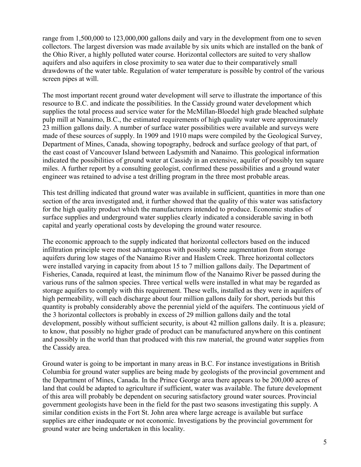range from 1,500,000 to 123,000,000 gallons daily and vary in the development from one to seven collectors. The largest diversion was made available by six units which are installed on the bank of the Ohio River, a highly polluted water course. Horizontal collectors are suited to very shallow aquifers and also aquifers in close proximity to sea water due to their comparatively small drawdowns of the water table. Regulation of water temperature is possible by control of the various screen pipes at will.

The most important recent ground water development will serve to illustrate the importance of this resource to B.C. and indicate the possibilities. In the Cassidy ground water development which supplies the total process aud service water for the McMillan-Bloedel high grade bleached sulphate pulp mill at Nanaimo, B.C., the estimated requirements of high quality water were approximately 23 million gallons daily. A number of surface water possibilities were available and surveys were made of these sources of supply. In 1909 and 1910 maps were compiled by the Geological Survey, Department of Mines, Canada, showing topography, bedrock and surface geology of that part, of the east coast of Vancouver Island between Ladysmith and Nanaimo. This geological information indicated the possibilities of ground water at Cassidy in an extensive, aquifer of possibly ten square miles. A further report by a consulting geologist, confirmed these possibilities and a ground water engineer was retained to advise a test drilling program in the three most probable areas.

This test drilling indicated that ground water was available in sufficient, quantities in more than one section of the area investigated and, it further showed that the quality of this water was satisfactory for the high quality product which the manufacturers intended to produce. Economic studies of surface supplies and underground water supplies clearly indicated a considerable saving in both capital and yearly operational costs by developing the ground water resource.

The economic approach to the supply indicated that horizontal collectors based on the induced infiltration principle were most advantageous with possibly some augmentation from storage aquifers during low stages of the Nanaimo River and Haslem Creek. Three horizontal collectors were installed varying in capacity from about 15 to 7 million gallons daily. The Department of Fisheries, Canada, required at least, the minimum flow of the Nanaimo River be passed during the various runs of the salmon species. Three vertical wells were installed in what may be regarded as storage aquifers to comply with this requirement. These wells, installed as they were in aquifers of high permeability, will each discharge about four million gallons daily for short, periods but this quantity is probably considerably above the perennial yield of the aquifers. The continuous yield of the 3 horizontal collectors is probably in excess of 29 million gallons daily and the total development, possibly without sufficient security, is about 42 million gallons daily. It is a. pleasure; to know, that possibly no higher grade of product can be manufactured anywhere on this continent and possibly in the world than that produced with this raw material, the ground water supplies from the Cassidy area.

Ground water is going to be important in many areas in B.C. For instance investigations in British Columbia for ground water supplies are being made by geologists of the provincial government and the Department of Mines, Canada. In the Prince George area there appears to be 200,000 acres of land that could be adapted to agriculture if sufficient, water was available. The future development of this area will probably be dependent on securing satisfactory ground water sources. Provincial government geologists have been in the field for the past two seasons investigating this supply. A similar condition exists in the Fort St. John area where large acreage is available but surface supplies are either inadequate or not economic. Investigations by the provincial government for ground water are being undertaken in this locality.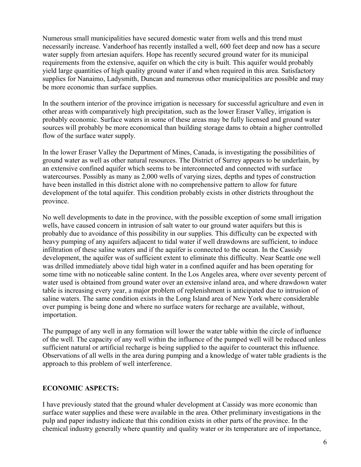Numerous small municipalities have secured domestic water from wells and this trend must necessarily increase. Vanderhoof has recently installed a well, 600 feet deep and now has a secure water supply from artesian aquifers. Hope has recently secured ground water for its municipal requirements from the extensive, aquifer on which the city is built. This aquifer would probably yield large quantities of high quality ground water if and when required in this area. Satisfactory supplies for Nanaimo, Ladysmith, Duncan and numerous other municipalities are possible and may be more economic than surface supplies.

In the southern interior of the province irrigation is necessary for successful agriculture and even in other areas with comparatively high precipitation, such as the lower Eraser Valley, irrigation is probably economic. Surface waters in some of these areas may be fully licensed and ground water sources will probably be more economical than building storage dams to obtain a higher controlled flow of the surface water supply.

In the lower Eraser Valley the Department of Mines, Canada, is investigating the possibilities of ground water as well as other natural resources. The District of Surrey appears to be underlain, by an extensive confined aquifer which seems to be interconnected and connected with surface watercourses. Possibly as many as 2,000 wells of varying sizes, depths and types of construction have been installed in this district alone with no comprehensive pattern to allow for future development of the total aquifer. This condition probably exists in other districts throughout the province.

No well developments to date in the province, with the possible exception of some small irrigation wells, have caused concern in intrusion of salt water to our ground water aquifers but this is probably due to avoidance of this possibility in our supplies. This difficulty can be expected with heavy pumping of any aquifers adjacent to tidal water if well drawdowns are sufficient, to induce infiltration of these saline waters and if the aquifer is connected to the ocean. In the Cassidy development, the aquifer was of sufficient extent to eliminate this difficulty. Near Seattle one well was drilled immediately above tidal high water in a confined aquifer and has been operating for some time with no noticeable saline content. In the Los Angeles area, where over seventy percent of water used is obtained from ground water over an extensive inland area, and where drawdown water table is increasing every year, a major problem of replenishment is anticipated due to intrusion of saline waters. The same condition exists in the Long Island area of New York where considerable over pumping is being done and where no surface waters for recharge are available, without, importation.

The pumpage of any well in any formation will lower the water table within the circle of influence of the well. The capacity of any well within the influence of the pumped well will be reduced unless sufficient natural or artificial recharge is being supplied to the aquifer to counteract this influence. Observations of all wells in the area during pumping and a knowledge of water table gradients is the approach to this problem of well interference.

### **ECONOMIC ASPECTS:**

I have previously stated that the ground whaler development at Cassidy was more economic than surface water supplies and these were available in the area. Other preliminary investigations in the pulp and paper industry indicate that this condition exists in other parts of the province. In the chemical industry generally where quantity and quality water or its temperature are of importance,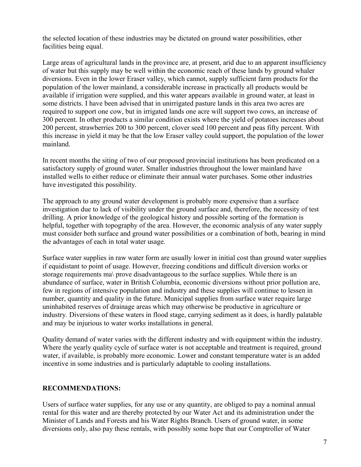the selected location of these industries may be dictated on ground water possibilities, other facilities being equal.

Large areas of agricultural lands in the province are, at present, arid due to an apparent insufficiency of water but this supply may be well within the economic reach of these lands by ground whaler diversions. Even in the lower Eraser valley, which cannot, supply sufficient farm products for the population of the lower mainland, a considerable increase in practically all products would be available if irrigation were supplied, and this water appears available in ground water, at least in some districts. I have been advised that in unirrigated pasture lands in this area two acres are required to support one cow, but in irrigated lands one acre will support two cows, an increase of 300 percent. In other products a similar condition exists where the yield of potatoes increases about 200 percent, strawberries 200 to 300 percent, clover seed 100 percent and peas fifty percent. With this increase in yield it may be that the low Eraser valley could support, the population of the lower mainland.

In recent months the siting of two of our proposed provincial institutions has been predicated on a satisfactory supply of ground water. Smaller industries throughout the lower mainland have installed wells to either reduce or eliminate their annual water purchases. Some other industries have investigated this possibility.

The approach to any ground water development is probably more expensive than a surface investigation due to lack of visibility under the ground surface and, therefore, the necessity of test drilling. A prior knowledge of the geological history and possible sorting of the formation is helpful, together with topography of the area. However, the economic analysis of any water supply must consider both surface and ground water possibilities or a combination of both, bearing in mind the advantages of each in total water usage.

Surface water supplies in raw water form are usually lower in initial cost than ground water supplies if equidistant to point of usage. However, freezing conditions and difficult diversion works or storage requirements ma\ prove disadvantageous to the surface supplies. While there is an abundance of surface, water in British Columbia, economic diversions without prior pollution are, few in regions of intensive population and industry and these supplies will continue to lessen in number, quantity and quality in the future. Municipal supplies from surface water require large uninhabited reserves of drainage areas which may otherwise be productive in agriculture or industry. Diversions of these waters in flood stage, carrying sediment as it does, is hardly palatable and may be injurious to water works installations in general.

Quality demand of water varies with the different industry and with equipment within the industry. Where the yearly quality cycle of surface water is not acceptable and treatment is required, ground water, if available, is probably more economic. Lower and constant temperature water is an added incentive in some industries and is particularly adaptable to cooling installations.

#### **RECOMMENDATIONS:**

Users of surface water supplies, for any use or any quantity, are obliged to pay a nominal annual rental for this water and are thereby protected by our Water Act and its administration under the Minister of Lands and Forests and his Water Rights Branch. Users of ground water, in some diversions only, also pay these rentals, with possibly some hope that our Comptroller of Water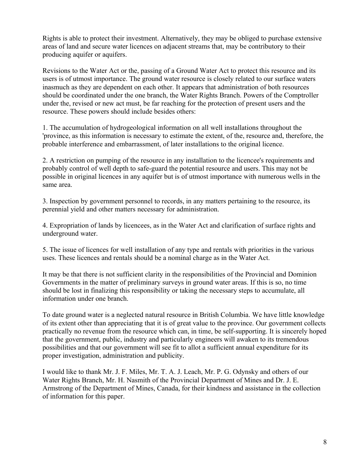Rights is able to protect their investment. Alternatively, they may be obliged to purchase extensive areas of land and secure water licences on adjacent streams that, may be contributory to their producing aquifer or aquifers.

Revisions to the Water Act or the, passing of a Ground Water Act to protect this resource and its users is of utmost importance. The ground water resource is closely related to our surface waters inasmuch as they are dependent on each other. It appears that administration of both resources should be coordinated under the one branch, the Water Rights Branch. Powers of the Comptroller under the, revised or new act must, be far reaching for the protection of present users and the resource. These powers should include besides others:

1. The accumulation of hydrogeological information on all well installations throughout the 'province, as this information is necessary to estimate the extent, of the, resource and, therefore, the probable interference and embarrassment, of later installations to the original licence.

2. A restriction on pumping of the resource in any installation to the licencee's requirements and probably control of well depth to safe-guard the potential resource and users. This may not be possible in original licences in any aquifer but is of utmost importance with numerous wells in the same area.

3. Inspection by government personnel to records, in any matters pertaining to the resource, its perennial yield and other matters necessary for administration.

4. Expropriation of lands by licencees, as in the Water Act and clarification of surface rights and underground water.

5. The issue of licences for well installation of any type and rentals with priorities in the various uses. These licences and rentals should be a nominal charge as in the Water Act.

It may be that there is not sufficient clarity in the responsibilities of the Provincial and Dominion Governments in the matter of preliminary surveys in ground water areas. If this is so, no time should be lost in finalizing this responsibility or taking the necessary steps to accumulate, all information under one branch.

To date ground water is a neglected natural resource in British Columbia. We have little knowledge of its extent other than appreciating that it is of great value to the province. Our government collects practically no revenue from the resource which can, in time, be self-supporting. It is sincerely hoped that the government, public, industry and particularly engineers will awaken to its tremendous possibilities and that our government will see fit to allot a sufficient annual expenditure for its proper investigation, administration and publicity.

I would like to thank Mr. J. F. Miles, Mr. T. A. J. Leach, Mr. P. G. Odynsky and others of our Water Rights Branch, Mr. H. Nasmith of the Provincial Department of Mines and Dr. J. E. Armstrong of the Department of Mines, Canada, for their kindness and assistance in the collection of information for this paper.